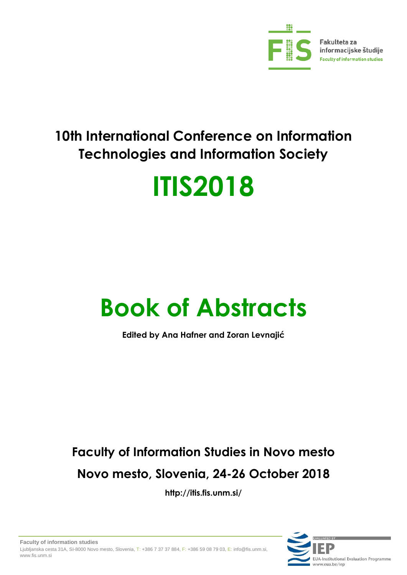

## **10th International Conference on Information Technologies and Information Society**

# **ITIS2018**

## **Book of Abstracts**

**Edited by Ana Hafner and Zoran Levnajić**

## **Faculty of Information Studies in Novo mesto Novo mesto, Slovenia, 24-26 October 2018**

**<http://itis.fis.unm.si/>**

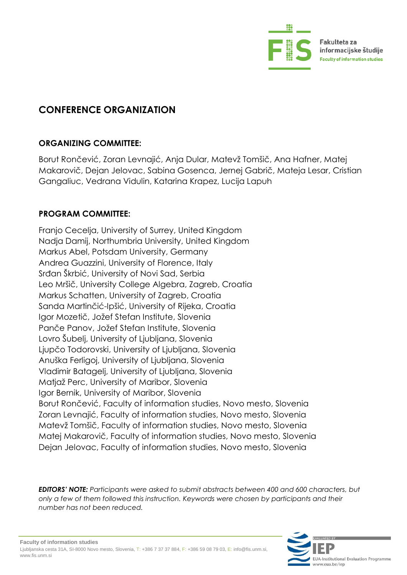

### **CONFERENCE ORGANIZATION**

#### **ORGANIZING COMMITTEE:**

Borut Rončević, Zoran Levnajić, Anja Dular, Matevž Tomšič, Ana Hafner, Matej Makarovič, Dejan Jelovac, Sabina Gosenca, Jernej Gabrič, Mateja Lesar, Cristian Gangaliuc, Vedrana Vidulin, Katarina Krapez, Lucija Lapuh

#### **PROGRAM COMMITTEE:**

Franjo Cecelja, University of Surrey, United Kingdom Nadja Damij, Northumbria University, United Kingdom Markus Abel, Potsdam University, Germany Andrea Guazzini, University of Florence, Italy Srđan Škrbić, University of Novi Sad, Serbia Leo Mršič, University College Algebra, Zagreb, Croatia Markus Schatten, University of Zagreb, Croatia Sanda Martinčić-Ipšić, University of Rijeka, Croatia Igor Mozetič, Jožef Stefan Institute, Slovenia Panče Panov, Jožef Stefan Institute, Slovenia Lovro Šubelj, University of Ljubljana, Slovenia Ljupčo Todorovski, University of Ljubljana, Slovenia Anuška Ferligoj, University of Ljubljana, Slovenia Vladimir Batagelj, University of Ljubljana, Slovenia Matjaž Perc, University of Maribor, Slovenia Igor Bernik, University of Maribor, Slovenia Borut Rončević, Faculty of information studies, Novo mesto, Slovenia Zoran Levnajić, Faculty of information studies, Novo mesto, Slovenia Matevž Tomšič, Faculty of information studies, Novo mesto, Slovenia Matej Makarovič, Faculty of information studies, Novo mesto, Slovenia Dejan Jelovac, Faculty of information studies, Novo mesto, Slovenia

*EDITORS' NOTE: Participants were asked to submit abstracts between 400 and 600 characters, but only a few of them followed this instruction. Keywords were chosen by participants and their number has not been reduced.*

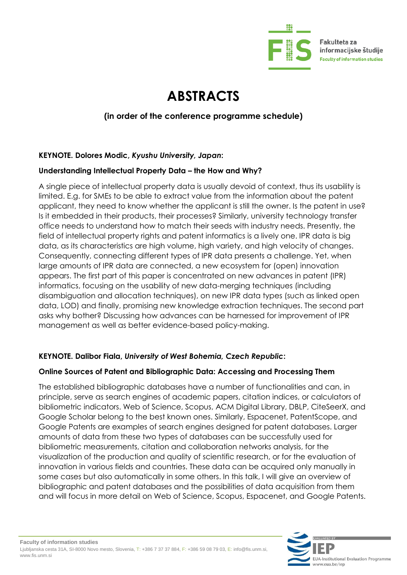

Fakulteta za informacijske študije **Faculty of information studies** 

### **ABSTRACTS**

#### **(in order of the conference programme schedule)**

#### **KEYNOTE. Dolores Modic,** *Kyushu University, Japan***:**

#### Understanding Intellectual Property Data - the How and Why?

A single piece of intellectual property data is usually devoid of context, thus its usability is limited. E.g. for SMEs to be able to extract value from the information about the patent applicant, they need to know whether the applicant is still the owner. Is the patent in use? Is it embedded in their products, their processes? Similarly, university technology transfer office needs to understand how to match their seeds with industry needs. Presently, the field of intellectual property rights and patent informatics is a lively one. IPR data is big data, as its characteristics are high volume, high variety, and high velocity of changes. Consequently, connecting different types of IPR data presents a challenge. Yet, when large amounts of IPR data are connected, a new ecosystem for (open) innovation appears. The first part of this paper is concentrated on new advances in patent (IPR) informatics, focusing on the usability of new data-merging techniques (including disambiguation and allocation techniques), on new IPR data types (such as linked open data, LOD) and finally, promising new knowledge extraction techniques. The second part asks why bother? Discussing how advances can be harnessed for improvement of IPR management as well as better evidence-based policy-making.

#### **KEYNOTE. Dalibor Fiala,** *University of West Bohemia, Czech Republic***:**

#### **Online Sources of Patent and Bibliographic Data: Accessing and Processing Them**

The established bibliographic databases have a number of functionalities and can, in principle, serve as search engines of academic papers, citation indices, or calculators of bibliometric indicators. Web of Science, Scopus, ACM Digital Library, DBLP, CiteSeerX, and Google Scholar belong to the best known ones. Similarly, Espacenet, PatentScope, and Google Patents are examples of search engines designed for patent databases. Larger amounts of data from these two types of databases can be successfully used for bibliometric measurements, citation and collaboration networks analysis, for the visualization of the production and quality of scientific research, or for the evaluation of innovation in various fields and countries. These data can be acquired only manually in some cases but also automatically in some others. In this talk, I will give an overview of bibliographic and patent databases and the possibilities of data acquisition from them and will focus in more detail on Web of Science, Scopus, Espacenet, and Google Patents.

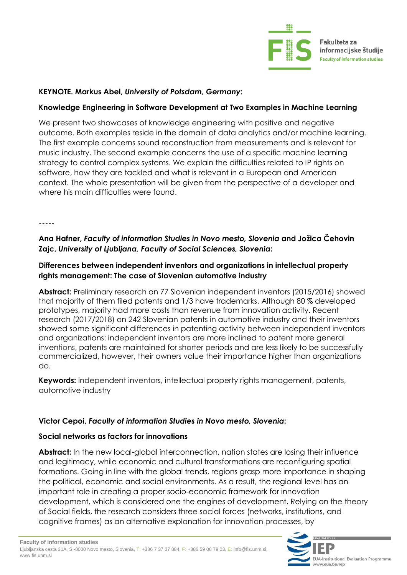

#### **KEYNOTE. Markus Abel,** *University of Potsdam, Germany***:**

#### **Knowledge Engineering in Software Development at Two Examples in Machine Learning**

We present two showcases of knowledge engineering with positive and negative outcome. Both examples reside in the domain of data analytics and/or machine learning. The first example concerns sound reconstruction from measurements and is relevant for music industry. The second example concerns the use of a specific machine learning strategy to control complex systems. We explain the difficulties related to IP rights on software, how they are tackled and what is relevant in a European and American context. The whole presentation will be given from the perspective of a developer and where his main difficulties were found.

**-----**

#### **Ana Hafner,** *Faculty of information Studies in Novo mesto, Slovenia* **and Jožica Čehovin Zajc,** *University of Ljubljana, Faculty of Social Sciences, Slovenia***:**

#### **Differences between independent inventors and organizations in intellectual property rights management: The case of Slovenian automotive industry**

**Abstract:** Preliminary research on 77 Slovenian independent inventors (2015/2016) showed that majority of them filed patents and 1/3 have trademarks. Although 80 % developed prototypes, majority had more costs than revenue from innovation activity. Recent research (2017/2018) on 242 Slovenian patents in automotive industry and their inventors showed some significant differences in patenting activity between independent inventors and organizations: independent inventors are more inclined to patent more general inventions, patents are maintained for shorter periods and are less likely to be successfully commercialized, however, their owners value their importance higher than organizations do.

**Keywords:** independent inventors, intellectual property rights management, patents, automotive industry

#### **Victor Cepoi,** *Faculty of information Studies in Novo mesto, Slovenia***:**

#### **Social networks as factors for innovations**

**Abstract:** In the new local-global interconnection, nation states are losing their influence and legitimacy, while economic and cultural transformations are reconfiguring spatial formations. Going in line with the global trends, regions grasp more importance in shaping the political, economic and social environments. As a result, the regional level has an important role in creating a proper socio-economic framework for innovation development, which is considered one the engines of development. Relying on the theory of Social fields, the research considers three social forces (networks, institutions, and cognitive frames) as an alternative explanation for innovation processes, by

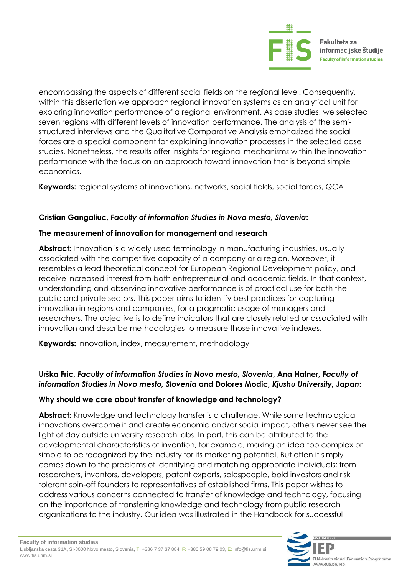

encompassing the aspects of different social fields on the regional level. Consequently, within this dissertation we approach regional innovation systems as an analytical unit for exploring innovation performance of a regional environment. As case studies, we selected seven regions with different levels of innovation performance. The analysis of the semistructured interviews and the Qualitative Comparative Analysis emphasized the social forces are a special component for explaining innovation processes in the selected case studies. Nonetheless, the results offer insights for regional mechanisms within the innovation performance with the focus on an approach toward innovation that is beyond simple economics.

**Keywords:** regional systems of innovations, networks, social fields, social forces, QCA

#### **Cristian Gangaliuc,** *Faculty of information Studies in Novo mesto, Slovenia***:**

#### **The measurement of innovation for management and research**

**Abstract:** Innovation is a widely used terminology in manufacturing industries, usually associated with the competitive capacity of a company or a region. Moreover, it resembles a lead theoretical concept for European Regional Development policy, and receive increased interest from both entrepreneurial and academic fields. In that context, understanding and observing innovative performance is of practical use for both the public and private sectors. This paper aims to identify best practices for capturing innovation in regions and companies, for a pragmatic usage of managers and researchers. The objective is to define indicators that are closely related or associated with innovation and describe methodologies to measure those innovative indexes.

**Keywords:** innovation, index, measurement, methodology

#### **Urška Fric,** *Faculty of information Studies in Novo mesto, Slovenia***, Ana Hafner,** *Faculty of information Studies in Novo mesto, Slovenia* **and Dolores Modic,** *Kjushu University, Japan***:**

#### **Why should we care about transfer of knowledge and technology?**

**Abstract:** Knowledge and technology transfer is a challenge. While some technological innovations overcome it and create economic and/or social impact, others never see the light of day outside university research labs. In part, this can be attributed to the developmental characteristics of invention, for example, making an idea too complex or simple to be recognized by the industry for its marketing potential. But often it simply comes down to the problems of identifying and matching appropriate individuals; from researchers, inventors, developers, patent experts, salespeople, bold investors and risk tolerant spin-off founders to representatives of established firms. This paper wishes to address various concerns connected to transfer of knowledge and technology, focusing on the importance of transferring knowledge and technology from public research organizations to the industry. Our idea was illustrated in the Handbook for successful

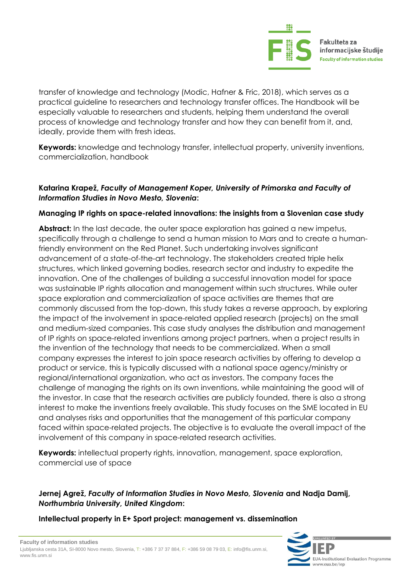

transfer of knowledge and technology (Modic, Hafner & Fric, 2018), which serves as a practical guideline to researchers and technology transfer offices. The Handbook will be especially valuable to researchers and students, helping them understand the overall process of knowledge and technology transfer and how they can benefit from it, and, ideally, provide them with fresh ideas.

**Keywords:** knowledge and technology transfer, intellectual property, university inventions, commercialization, handbook

#### **Katarina Krapež,** *Faculty of Management Koper, University of Primorska and Faculty of Information Studies in Novo Mesto, Slovenia***:**

#### **Managing IP rights on space-related innovations: the insights from a Slovenian case study**

**Abstract:** In the last decade, the outer space exploration has gained a new impetus, specifically through a challenge to send a human mission to Mars and to create a humanfriendly environment on the Red Planet. Such undertaking involves significant advancement of a state-of-the-art technology. The stakeholders created triple helix structures, which linked governing bodies, research sector and industry to expedite the innovation. One of the challenges of building a successful innovation model for space was sustainable IP rights allocation and management within such structures. While outer space exploration and commercialization of space activities are themes that are commonly discussed from the top-down, this study takes a reverse approach, by exploring the impact of the involvement in space-related applied research (projects) on the small and medium-sized companies. This case study analyses the distribution and management of IP rights on space-related inventions among project partners, when a project results in the invention of the technology that needs to be commercialized. When a small company expresses the interest to join space research activities by offering to develop a product or service, this is typically discussed with a national space agency/ministry or regional/international organization, who act as investors. The company faces the challenge of managing the rights on its own inventions, while maintaining the good will of the investor. In case that the research activities are publicly founded, there is also a strong interest to make the inventions freely available. This study focuses on the SME located in EU and analyses risks and opportunities that the management of this particular company faced within space-related projects. The objective is to evaluate the overall impact of the involvement of this company in space-related research activities.

**Keywords:** intellectual property rights, innovation, management, space exploration, commercial use of space

#### **Jernej Agrež,** *Faculty of Information Studies in Novo Mesto, Slovenia* **and Nadja Damij,**  *Northumbria University, United Kingdom***:**

#### **Intellectual property in E+ Sport project: management vs. dissemination**

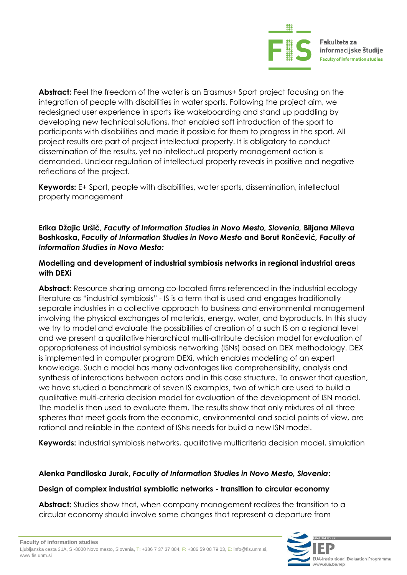

**Abstract:** Feel the freedom of the water is an Erasmus+ Sport project focusing on the integration of people with disabilities in water sports. Following the project aim, we redesigned user experience in sports like wakeboarding and stand up paddling by developing new technical solutions, that enabled soft introduction of the sport to participants with disabilities and made it possible for them to progress in the sport. All project results are part of project intellectual property. It is obligatory to conduct dissemination of the results, yet no intellectual property management action is demanded. Unclear regulation of intellectual property reveals in positive and negative reflections of the project.

**Keywords:** E+ Sport, people with disabilities, water sports, dissemination, intellectual property management

#### **Erika Džajic Uršič,** *Faculty of Information Studies in Novo Mesto, Slovenia,* **Biljana Mileva Boshkoska,** *Faculty of Information Studies in Novo Mesto* **and Borut Rončević***, Faculty of Information Studies in Novo Mesto:*

#### **Modelling and development of industrial symbiosis networks in regional industrial areas with DEXi**

Abstract: Resource sharing among co-located firms referenced in the industrial ecology literature as "industrial symbiosis" - IS is a term that is used and engages traditionally separate industries in a collective approach to business and environmental management involving the physical exchanges of materials, energy, water, and byproducts. In this study we try to model and evaluate the possibilities of creation of a such IS on a regional level and we present a qualitative hierarchical multi-attribute decision model for evaluation of appropriateness of industrial symbiosis networking (ISNs) based on DEX methodology. DEX is implemented in computer program DEXi, which enables modelling of an expert knowledge. Such a model has many advantages like comprehensibility, analysis and synthesis of interactions between actors and in this case structure. To answer that question, we have studied a benchmark of seven IS examples, two of which are used to build a qualitative multi-criteria decision model for evaluation of the development of ISN model. The model is then used to evaluate them. The results show that only mixtures of all three spheres that meet goals from the economic, environmental and social points of view, are rational and reliable in the context of ISNs needs for build a new ISN model.

**Keywords:** industrial symbiosis networks, qualitative multicriteria decision model, simulation

#### **Alenka Pandiloska Jurak,** *Faculty of Information Studies in Novo Mesto, Slovenia***:**

#### **Design of complex industrial symbiotic networks - transition to circular economy**

**Abstract:** Studies show that, when company management realizes the transition to a circular economy should involve some changes that represent a departure from

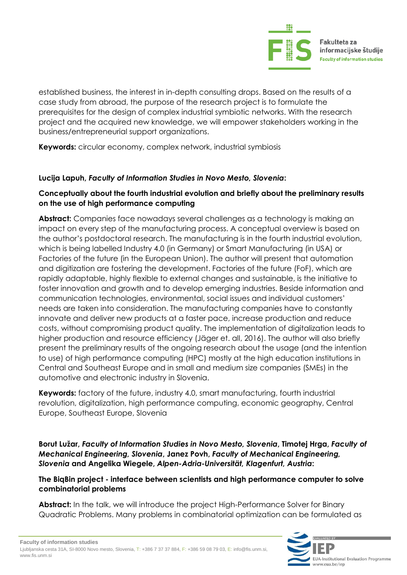

established business, the interest in in-depth consulting drops. Based on the results of a case study from abroad, the purpose of the research project is to formulate the prerequisites for the design of complex industrial symbiotic networks. With the research project and the acquired new knowledge, we will empower stakeholders working in the business/entrepreneurial support organizations.

**Keywords:** circular economy, complex network, industrial symbiosis

#### **Lucija Lapuh,** *Faculty of Information Studies in Novo Mesto, Slovenia***:**

#### **Conceptually about the fourth industrial evolution and briefly about the preliminary results on the use of high performance computing**

**Abstract:** Companies face nowadays several challenges as a technology is making an impact on every step of the manufacturing process. A conceptual overview is based on the author's postdoctoral research. The manufacturing is in the fourth industrial evolution, which is being labelled Industry 4.0 (in Germany) or Smart Manufacturing (in USA) or Factories of the future (in the European Union). The author will present that automation and digitization are fostering the development. Factories of the future (FoF), which are rapidly adaptable, highly flexible to external changes and sustainable, is the initiative to foster innovation and growth and to develop emerging industries. Beside information and communication technologies, environmental, social issues and individual customers' needs are taken into consideration. The manufacturing companies have to constantly innovate and deliver new products at a faster pace, increase production and reduce costs, without compromising product quality. The implementation of digitalization leads to higher production and resource efficiency (Jäger et. all, 2016). The author will also briefly present the preliminary results of the ongoing research about the usage (and the intention to use) of high performance computing (HPC) mostly at the high education institutions in Central and Southeast Europe and in small and medium size companies (SMEs) in the automotive and electronic industry in Slovenia.

**Keywords:** factory of the future, industry 4.0, smart manufacturing, fourth industrial revolution, digitalization, high performance computing, economic geography, Central Europe, Southeast Europe, Slovenia

**Borut Lužar,** *Faculty of Information Studies in Novo Mesto, Slovenia***, Timotej Hrga,** *Faculty of Mechanical Engineering, Slovenia***, Janez Povh,** *Faculty of Mechanical Engineering, Slovenia* **and Angelika Wiegele,** *Alpen-Adria-Universität, Klagenfurt, Austria***:** 

#### **The BiqBin project - interface between scientists and high performance computer to solve combinatorial problems**

**Abstract:** In the talk, we will introduce the project High-Performance Solver for Binary Quadratic Problems. Many problems in combinatorial optimization can be formulated as

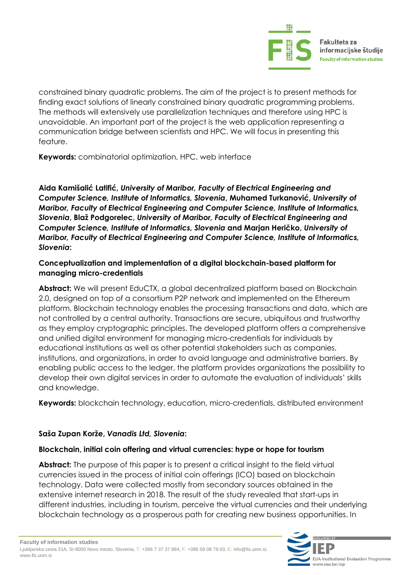

constrained binary quadratic problems. The aim of the project is to present methods for finding exact solutions of linearly constrained binary quadratic programming problems. The methods will extensively use parallelization techniques and therefore using HPC is unavoidable. An important part of the project is the web application representing a communication bridge between scientists and HPC. We will focus in presenting this feature.

**Keywords:** combinatorial optimization, HPC, web interface

**Aida Kamišalić Latifić,** *University of Maribor, Faculty of Electrical Engineering and Computer Science, Institute of Informatics, Slovenia***, Muhamed Turkanović,** *University of Maribor, Faculty of Electrical Engineering and Computer Science, Institute of Informatics, Slovenia***, Blaž Podgorelec,** *University of Maribor, Faculty of Electrical Engineering and Computer Science, Institute of Informatics, Slovenia* **and Marjan Heričko,** *University of Maribor, Faculty of Electrical Engineering and Computer Science, Institute of Informatics, Slovenia***:** 

#### **Conceptualization and implementation of a digital blockchain-based platform for managing micro-credentials**

**Abstract:** We will present EduCTX, a global decentralized platform based on Blockchain 2.0, designed on top of a consortium P2P network and implemented on the Ethereum platform. Blockchain technology enables the processing transactions and data, which are not controlled by a central authority. Transactions are secure, ubiquitous and trustworthy as they employ cryptographic principles. The developed platform offers a comprehensive and unified digital environment for managing micro-credentials for individuals by educational institutions as well as other potential stakeholders such as companies, institutions, and organizations, in order to avoid language and administrative barriers. By enabling public access to the ledger, the platform provides organizations the possibility to develop their own digital services in order to automate the evaluation of individuals' skills and knowledge.

**Keywords:** blockchain technology, education, micro-credentials, distributed environment

#### **Saša Zupan Korže,** *Vanadis Ltd, Slovenia***:**

#### **Blockchain, initial coin offering and virtual currencies: hype or hope for tourism**

**Abstract:** The purpose of this paper is to present a critical insight to the field virtual currencies issued in the process of initial coin offerings (ICO) based on blockchain technology. Data were collected mostly from secondary sources obtained in the extensive internet research in 2018. The result of the study revealed that start-ups in different industries, including in tourism, perceive the virtual currencies and their underlying blockchain technology as a prosperous path for creating new business opportunities. In

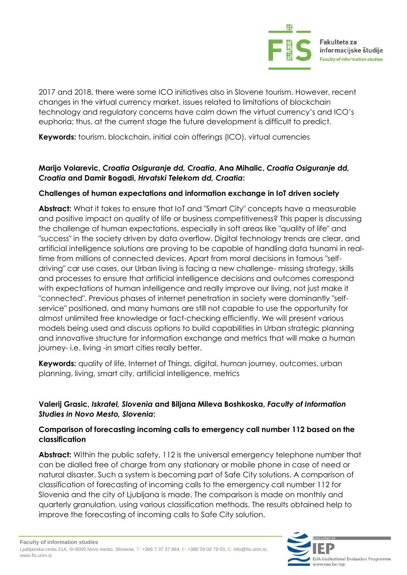

2017 and 2018, there were some ICO initiatives also in Slovene tourism. However, recent changes in the virtual currency market, issues related to limitations of blockchain technology and regulatory concerns have calm down the virtual currency's and ICO's euphoria; thus, at the current stage the future development is difficult to predict.

**Keywords:** tourism, blockchain, initial coin offerings (ICO), virtual currencies

#### **Marijo Volarevic,** *Croatia Osiguranje dd, Croatia***, Ana Mihalic,** *Croatia Osiguranje dd, Croatia* **and Damir Bogadi,** *Hrvatski Telekom dd, Croatia***:**

#### **Challenges of human expectations and information exchange in IoT driven society**

**Abstract:** What it takes to ensure that IoT and "Smart City" concepts have a measurable and positive impact on quality of life or business competitiveness? This paper is discussing the challenge of human expectations, especially in soft areas like "quality of life" and "success" in the society driven by data overflow. Digital technology trends are clear, and artificial intelligence solutions are proving to be capable of handling data tsunami in realtime from millions of connected devices. Apart from moral decisions in famous "selfdriving" car use cases, our Urban living is facing a new challenge- missing strategy, skills and processes to ensure that artificial intelligence decisions and outcomes correspond with expectations of human intelligence and really improve our living, not just make it "connected". Previous phases of internet penetration in society were dominantly "selfservice" positioned, and many humans are still not capable to use the opportunity for almost unlimited free knowledge or fact-checking efficiently. We will present various models being used and discuss options to build capabilities in Urban strategic planning and innovative structure for information exchange and metrics that will make a human journey- i.e. living -in smart cities really better.

**Keywords:** quality of life, Internet of Things, digital, human journey, outcomes, urban planning, living, smart city, artificial intelligence, metrics

#### **Valerij Grasic,** *Iskratel, Slovenia* **and Biljana Mileva Boshkoska,** *Faculty of Information Studies in Novo Mesto, Slovenia***:**

#### **Comparison of forecasting incoming calls to emergency call number 112 based on the classification**

**Abstract:** Within the public safety, 112 is the universal emergency telephone number that can be dialled free of charge from any stationary or mobile phone in case of need or natural disaster. Such a system is becoming part of Safe City solutions. A comparison of classification of forecasting of incoming calls to the emergency call number 112 for Slovenia and the city of Ljubljana is made. The comparison is made on monthly and quarterly granulation, using various classification methods. The results obtained help to improve the forecasting of incoming calls to Safe City solution.

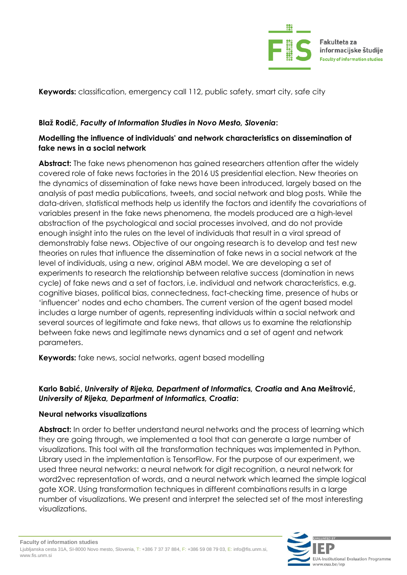

**Keywords:** classification, emergency call 112, public safety, smart city, safe city

#### **Blaž Rodič,** *Faculty of Information Studies in Novo Mesto, Slovenia***:**

#### **Modelling the influence of individuals' and network characteristics on dissemination of fake news in a social network**

Abstract: The fake news phenomenon has gained researchers attention after the widely covered role of fake news factories in the 2016 US presidential election. New theories on the dynamics of dissemination of fake news have been introduced, largely based on the analysis of past media publications, tweets, and social network and blog posts. While the data-driven, statistical methods help us identify the factors and identify the covariations of variables present in the fake news phenomena, the models produced are a high-level abstraction of the psychological and social processes involved, and do not provide enough insight into the rules on the level of individuals that result in a viral spread of demonstrably false news. Objective of our ongoing research is to develop and test new theories on rules that influence the dissemination of fake news in a social network at the level of individuals, using a new, original ABM model. We are developing a set of experiments to research the relationship between relative success (domination in news cycle) of fake news and a set of factors, i.e. individual and network characteristics, e.g. cognitive biases, political bias, connectedness, fact-checking time, presence of hubs or 'influencer' nodes and echo chambers. The current version of the agent based model includes a large number of agents, representing individuals within a social network and several sources of legitimate and fake news, that allows us to examine the relationship between fake news and legitimate news dynamics and a set of agent and network parameters.

**Keywords:** fake news, social networks, agent based modelling

#### **Karlo Babić,** *University of Rijeka, Department of Informatics, Croatia* **and Ana Meštrović,**  *University of Rijeka, Department of Informatics, Croatia***:**

#### **Neural networks visualizations**

**Abstract:** In order to better understand neural networks and the process of learning which they are going through, we implemented a tool that can generate a large number of visualizations. This tool with all the transformation techniques was implemented in Python. Library used in the implementation is TensorFlow. For the purpose of our experiment, we used three neural networks: a neural network for digit recognition, a neural network for word2vec representation of words, and a neural network which learned the simple logical gate XOR. Using transformation techniques in different combinations results in a large number of visualizations. We present and interpret the selected set of the most interesting visualizations.

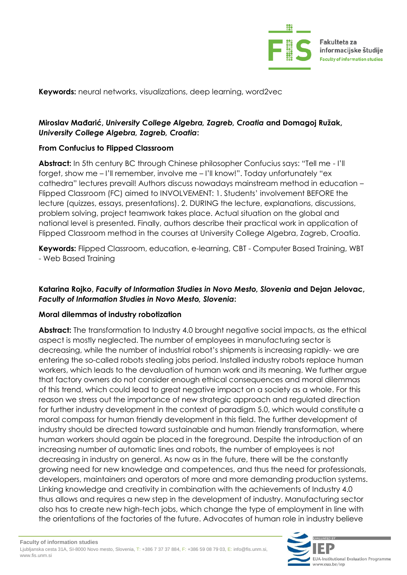

**Keywords:** neural networks, visualizations, deep learning, word2vec

#### **Miroslav Mađarić,** *University College Algebra, Zagreb, Croatia* **and Domagoj Ružak,**  *University College Algebra, Zagreb, Croatia***:**

#### **From Confucius to Flipped Classroom**

**Abstract:** In 5th century BC through Chinese philosopher Confucius says: "Tell me - I'll forget, show me – I'll remember, involve me – I'll know!". Today unfortunately "ex cathedra" lectures prevail! Authors discuss nowadays mainstream method in education – Flipped Classroom (FC) aimed to INVOLVEMENT: 1. Students' involvement BEFORE the lecture (quizzes, essays, presentations). 2. DURING the lecture, explanations, discussions, problem solving, project teamwork takes place. Actual situation on the global and national level is presented. Finally, authors describe their practical work in application of Flipped Classroom method in the courses at University College Algebra, Zagreb, Croatia.

**Keywords:** Flipped Classroom, education, e-learning, CBT - Computer Based Training, WBT - Web Based Training

#### **Katarina Rojko,** *Faculty of Information Studies in Novo Mesto, Slovenia* **and Dejan Jelovac,**  *Faculty of Information Studies in Novo Mesto, Slovenia***:**

#### **Moral dilemmas of industry robotization**

Abstract: The transformation to Industry 4.0 brought negative social impacts, as the ethical aspect is mostly neglected. The number of employees in manufacturing sector is decreasing, while the number of industrial robot's shipments is increasing rapidly- we are entering the so-called robots stealing jobs period. Installed industry robots replace human workers, which leads to the devaluation of human work and its meaning. We further argue that factory owners do not consider enough ethical consequences and moral dilemmas of this trend, which could lead to great negative impact on a society as a whole. For this reason we stress out the importance of new strategic approach and regulated direction for further industry development in the context of paradigm 5.0, which would constitute a moral compass for human friendly development in this field. The further development of industry should be directed toward sustainable and human friendly transformation, where human workers should again be placed in the foreground. Despite the introduction of an increasing number of automatic lines and robots, the number of employees is not decreasing in industry on general. As now as in the future, there will be the constantly growing need for new knowledge and competences, and thus the need for professionals, developers, maintainers and operators of more and more demanding production systems. Linking knowledge and creativity in combination with the achievements of Industry 4.0 thus allows and requires a new step in the development of industry. Manufacturing sector also has to create new high-tech jobs, which change the type of employment in line with the orientations of the factories of the future. Advocates of human role in industry believe

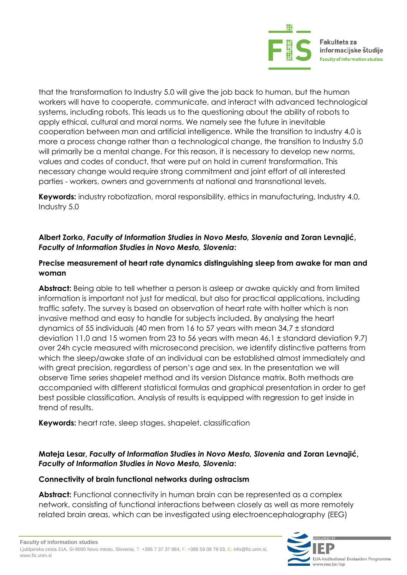

that the transformation to Industry 5.0 will give the job back to human, but the human workers will have to cooperate, communicate, and interact with advanced technological systems, including robots. This leads us to the questioning about the ability of robots to apply ethical, cultural and moral norms. We namely see the future in inevitable cooperation between man and artificial intelligence. While the transition to Industry 4.0 is more a process change rather than a technological change, the transition to Industry 5.0 will primarily be a mental change. For this reason, it is necessary to develop new norms, values and codes of conduct, that were put on hold in current transformation. This necessary change would require strong commitment and joint effort of all interested parties - workers, owners and governments at national and transnational levels.

**Keywords:** industry robotization, moral responsibility, ethics in manufacturing, Industry 4.0, Industry 5.0

#### **Albert Zorko,** *Faculty of Information Studies in Novo Mesto, Slovenia* **and Zoran Levnajić,**  *Faculty of Information Studies in Novo Mesto, Slovenia***:**

#### **Precise measurement of heart rate dynamics distinguishing sleep from awake for man and woman**

**Abstract:** Being able to tell whether a person is asleep or awake quickly and from limited information is important not just for medical, but also for practical applications, including traffic safety. The survey is based on observation of heart rate with holter which is non invasive method and easy to handle for subjects included. By analysing the heart dynamics of 55 individuals (40 men from 16 to 57 years with mean 34,7 ± standard deviation 11,0 and 15 women from 23 to 56 years with mean 46,1 ± standard deviation 9.7) over 24h cycle measured with microsecond precision, we identify distinctive patterns from which the sleep/awake state of an individual can be established almost immediately and with great precision, regardless of person's age and sex. In the presentation we will observe Time series shapelet method and its version Distance matrix. Both methods are accompanied with different statistical formulas and graphical presentation in order to get best possible classification. Analysis of results is equipped with regression to get inside in trend of results.

**Keywords:** heart rate, sleep stages, shapelet, classification

#### **Mateja Lesar,** *Faculty of Information Studies in Novo Mesto, Slovenia* **and Zoran Levnajić,**  *Faculty of Information Studies in Novo Mesto, Slovenia***:**

#### **Connectivity of brain functional networks during ostracism**

**Abstract:** Functional connectivity in human brain can be represented as a complex network, consisting of functional interactions between closely as well as more remotely related brain areas, which can be investigated using electroencephalography (EEG)

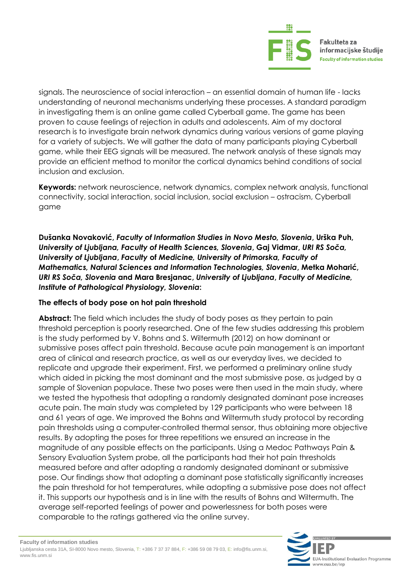

signals. The neuroscience of social interaction – an essential domain of human life - lacks understanding of neuronal mechanisms underlying these processes. A standard paradigm in investigating them is an online game called Cyberball game. The game has been proven to cause feelings of rejection in adults and adolescents. Aim of my doctoral research is to investigate brain network dynamics during various versions of game playing for a variety of subjects. We will gather the data of many participants playing Cyberball game, while their EEG signals will be measured. The network analysis of these signals may provide an efficient method to monitor the cortical dynamics behind conditions of social inclusion and exclusion.

**Keywords:** network neuroscience, network dynamics, complex network analysis, functional connectivity, social interaction, social inclusion, social exclusion – ostracism, Cyberball game

**Dušanka Novaković,** *Faculty of Information Studies in Novo Mesto, Slovenia***, Urška Puh,**  *University of Ljubljana, Faculty of Health Sciences, Slovenia***, Gaj Vidmar,** *URI RS Soča, University of Ljubljana***,** *Faculty* **of** *Medicine, University of Primorska, Faculty of Mathematics, Natural Sciences and Information Technologies, Slovenia***, Metka Moharić,** *URI RS Soča, Slovenia* **and Mara Bresjanac,** *University of Ljubljana***,** *Faculty of Medicine, Institute of Pathological Physiology, Slovenia***:** 

#### **The effects of body pose on hot pain threshold**

**Abstract:** The field which includes the study of body poses as they pertain to pain threshold perception is poorly researched. One of the few studies addressing this problem is the study performed by V. Bohns and S. Wiltermuth (2012) on how dominant or submissive poses affect pain threshold. Because acute pain management is an important area of clinical and research practice, as well as our everyday lives, we decided to replicate and upgrade their experiment. First, we performed a preliminary online study which aided in picking the most dominant and the most submissive pose, as judged by a sample of Slovenian populace. These two poses were then used in the main study, where we tested the hypothesis that adopting a randomly designated dominant pose increases acute pain. The main study was completed by 129 participants who were between 18 and 61 years of age. We improved the Bohns and Wiltermuth study protocol by recording pain thresholds using a computer-controlled thermal sensor, thus obtaining more objective results. By adopting the poses for three repetitions we ensured an increase in the magnitude of any possible effects on the participants. Using a Medoc Pathways Pain & Sensory Evaluation System probe, all the participants had their hot pain thresholds measured before and after adopting a randomly designated dominant or submissive pose. Our findings show that adopting a dominant pose statistically significantly increases the pain threshold for hot temperatures, while adopting a submissive pose does not affect it. This supports our hypothesis and is in line with the results of Bohns and Wiltermuth. The average self-reported feelings of power and powerlessness for both poses were comparable to the ratings gathered via the online survey.

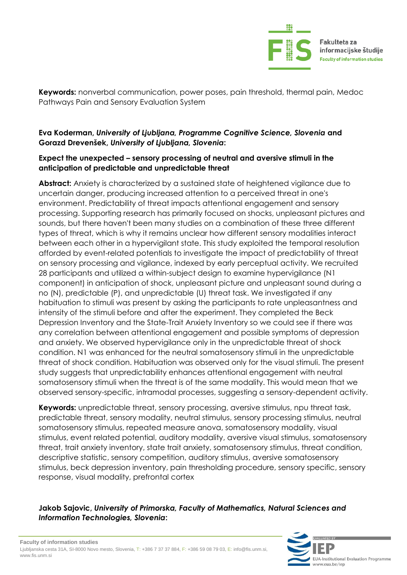

**Keywords:** nonverbal communication, power poses, pain threshold, thermal pain, Medoc Pathways Pain and Sensory Evaluation System

#### **Eva Koderman,** *University of Ljubljana, Programme Cognitive Science, Slovenia* **and Gorazd Drevenšek,** *University of Ljubljana, Slovenia***:**

#### **Expect the unexpected – sensory processing of neutral and aversive stimuli in the anticipation of predictable and unpredictable threat**

Abstract: Anxiety is characterized by a sustained state of heightened vigilance due to uncertain danger, producing increased attention to a perceived threat in one's environment. Predictability of threat impacts attentional engagement and sensory processing. Supporting research has primarily focused on shocks, unpleasant pictures and sounds, but there haven't been many studies on a combination of these three different types of threat, which is why it remains unclear how different sensory modalities interact between each other in a hypervigilant state. This study exploited the temporal resolution afforded by event-related potentials to investigate the impact of predictability of threat on sensory processing and vigilance, indexed by early perceptual activity. We recruited 28 participants and utilized a within-subject design to examine hypervigilance (N1 component) in anticipation of shock, unpleasant picture and unpleasant sound during a no (N), predictable (P), and unpredictable (U) threat task. We investigated if any habituation to stimuli was present by asking the participants to rate unpleasantness and intensity of the stimuli before and after the experiment. They completed the Beck Depression Inventory and the State-Trait Anxiety Inventory so we could see if there was any correlation between attentional engagement and possible symptoms of depression and anxiety. We observed hypervigilance only in the unpredictable threat of shock condition. N1 was enhanced for the neutral somatosensory stimuli in the unpredictable threat of shock condition. Habituation was observed only for the visual stimuli. The present study suggests that unpredictability enhances attentional engagement with neutral somatosensory stimuli when the threat is of the same modality. This would mean that we observed sensory-specific, intramodal processes, suggesting a sensory-dependent activity.

**Keywords:** unpredictable threat, sensory processing, aversive stimulus, npu threat task, predictable threat, sensory modality, neutral stimulus, sensory processing stimulus, neutral somatosensory stimulus, repeated measure anova, somatosensory modality, visual stimulus, event related potential, auditory modality, aversive visual stimulus, somatosensory threat, trait anxiety inventory, state trait anxiety, somatosensory stimulus, threat condition, descriptive statistic, sensory competition, auditory stimulus, aversive somatosensory stimulus, beck depression inventory, pain thresholding procedure, sensory specific, sensory response, visual modality, prefrontal cortex

#### **Jakob Sajovic,** *University of Primorska, Faculty of Mathematics, Natural Sciences and Information Technologies, Slovenia***:**